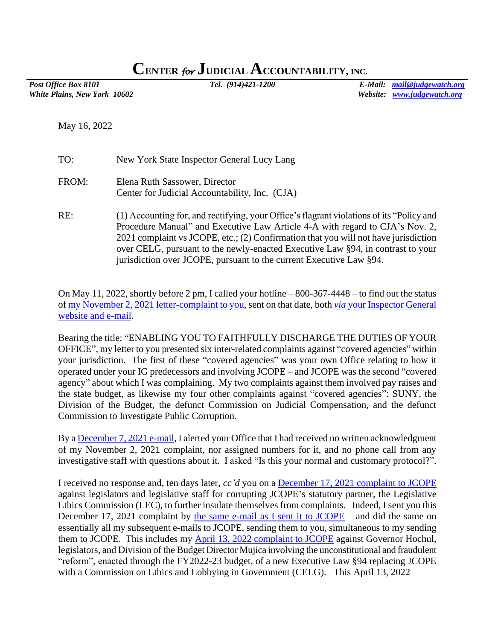## **CENTER** *for* **JUDICIAL ACCOUNTABILITY, INC.**

*White Plains, New York 10602 Website: [www.judgewatch.org](http://www.judgewatch.org/)*

*Post Office Box 8101 Tel. (914)421-1200 E-Mail: [mail@judgewatch.org](mailto:mail@judgewatch.org)*

May 16, 2022

| TO:   | New York State Inspector General Lucy Lang                                                                                                                                                                                                                                                                                                                                                                                |
|-------|---------------------------------------------------------------------------------------------------------------------------------------------------------------------------------------------------------------------------------------------------------------------------------------------------------------------------------------------------------------------------------------------------------------------------|
| FROM: | Elena Ruth Sassower, Director<br>Center for Judicial Accountability, Inc. (CJA)                                                                                                                                                                                                                                                                                                                                           |
| RE:   | (1) Accounting for, and rectifying, your Office's flagrant violations of its "Policy and<br>Procedure Manual" and Executive Law Article 4-A with regard to CJA's Nov. 2,<br>2021 complaint vs JCOPE, etc.; (2) Confirmation that you will not have jurisdiction<br>over CELG, pursuant to the newly-enacted Executive Law §94, in contrast to your<br>jurisdiction over JCOPE, pursuant to the current Executive Law §94. |

On May 11, 2022, shortly before 2 pm, I called your hotline – 800-367-4448 – to find out the status o[f my November 2, 2021 letter-complaint to you,](https://www.judgewatch.org/nys-inspector-general/11-2-21-complaints-inspector-general-corrected.pdf) sent on that date, both *via* [your Inspector General](https://www.judgewatch.org/nys-inspector-general/11-2-21-email-transmittal.pdf)  [website and e-mail.](https://www.judgewatch.org/nys-inspector-general/11-2-21-email-transmittal.pdf)

Bearing the title: "ENABLING YOU TO FAITHFULLY DISCHARGE THE DUTIES OF YOUR OFFICE", my letter to you presented six inter-related complaints against "covered agencies" within your jurisdiction. The first of these "covered agencies" was your own Office relating to how it operated under your IG predecessors and involving JCOPE – and JCOPE was the second "covered agency" about which I was complaining. My two complaints against them involved pay raises and the state budget, as likewise my four other complaints against "covered agencies": SUNY, the Division of the Budget, the defunct Commission on Judicial Compensation, and the defunct Commission to Investigate Public Corruption.

By a [December 7, 2021 e-mail,](https://www.judgewatch.org/nys-inspector-general/12-7-21-email-to-ig.pdf) I alerted your Office that I had received no written acknowledgment of my November 2, 2021 complaint, nor assigned numbers for it, and no phone call from any investigative staff with questions about it. I asked "Is this your normal and customary protocol?".

I received no response and, ten days later, *cc'd* you on a [December 17, 2021 complaint](https://www.judgewatch.org/nys-jcope-ethics-commission/2021/12-17-21-complaint-re-lec/12-17-21-complaint-vs-lec-corrected.pdf) to JCOPE against legislators and legislative staff for corrupting JCOPE's statutory partner, the Legislative Ethics Commission (LEC), to further insulate themselves from complaints. Indeed, I sent you this December 17, 2021 complaint by [the same e-mail as I sent it to JCOPE](https://www.judgewatch.org/nys-jcope-ethics-commission/2021/12-17-21-complaint-re-lec/12-17-21-e-mail-complaint-to-jcope-re-lec.pdf) – and did the same on essentially all my subsequent e-mails to JCOPE, sending them to you, simultaneous to my sending them to JCOPE. This includes my [April 13, 2022 complaint to JCOPE](https://www.judgewatch.org/nys-jcope-ethics-commission/4-13-22-complaint/4-13-22-complaint-fy2022-23-budget.pdf) against Governor Hochul, legislators, and Division of the Budget Director Mujica involving the unconstitutional and fraudulent "reform", enacted through the FY2022-23 budget, of a new Executive Law §94 replacing JCOPE with a Commission on Ethics and Lobbying in Government (CELG). This April 13, 2022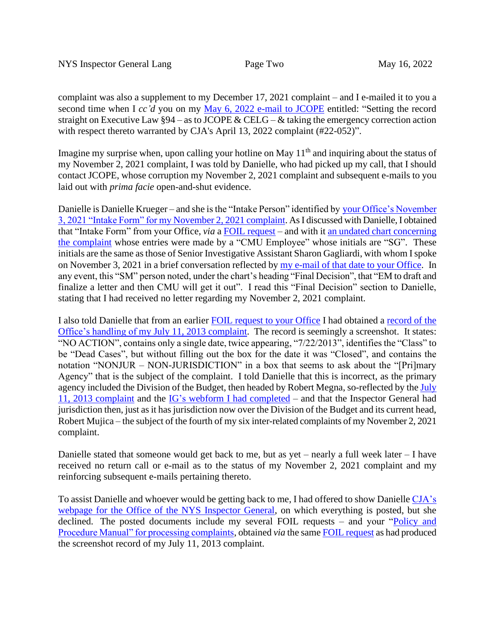complaint was also a supplement to my December 17, 2021 complaint – and I e-mailed it to you a second time when I *cc'd* you on my [May 6, 2022 e-mail to JCOPE](https://www.judgewatch.org/nys-jcope-ethics-commission/4-13-22-complaint/5-6-22-email-to-jcope.pdf) entitled: "Setting the record straight on Executive Law  $\S 94$  – as to JCOPE & CELG – & taking the emergency correction action with respect thereto warranted by CJA's April 13, 2022 complaint (#22-052)".

Imagine my surprise when, upon calling your hotline on May 11<sup>th</sup> and inquiring about the status of my November 2, 2021 complaint, I was told by Danielle, who had picked up my call, that I should contact JCOPE, whose corruption my November 2, 2021 complaint and subsequent e-mails to you laid out with *prima facie* open-and-shut evidence.

Danielle is Danielle Krueger – and she is the "Intake Person" identified by [your Office's November](https://www.judgewatch.org/nys-inspector-general/foil-nys-ig/IG-11-2-21-complaint-intake.pdf)  [3, 2021 "Intake Form" for my](https://www.judgewatch.org/nys-inspector-general/foil-nys-ig/IG-11-2-21-complaint-intake.pdf) November 2, 2021 complaint. As I discussed with Danielle, I obtained that "Intake Form" from your Office, *via* a [FOIL request](https://www.judgewatch.org/nys-2022-23-budget/foil/2-15-22-ig/2-16-22-foil-ig.pdf) – and with it [an undated chart concerning](https://www.judgewatch.org/nys-inspector-general/foil-nys-ig/IG-11-2-21-complaint-chart.pdf) [the complaint](https://www.judgewatch.org/nys-inspector-general/foil-nys-ig/IG-11-2-21-complaint-chart.pdf) whose entries were made by a "CMU Employee" whose initials are "SG". These initials are the same as those of Senior Investigative Assistant Sharon Gagliardi, with whom I spoke on November 3, 2021 in a brief conversation reflected by [my e-mail of that date to your](https://www.judgewatch.org/nys-inspector-general/11-3-21-email-transmittal-corrected.pdf) Office. In any event, this "SM" person noted, under the chart's heading "Final Decision", that "EM to draft and finalize a letter and then CMU will get it out". I read this "Final Decision" section to Danielle, stating that I had received no letter regarding my November 2, 2021 complaint.

I also told Danielle that from an earlier [FOIL request to your Office](https://www.judgewatch.org/nys-2021-22-budget/foil/11-3-21-inspector-general/11-3-21-foil-ig.pdf) I had obtained a [record of](https://www.judgewatch.org/nys-inspector-general/foil-nys-ig/IG-7-11-13-complaint-record.pdf) the [Office's handling of my July 11, 2013 complaint.](https://www.judgewatch.org/nys-inspector-general/foil-nys-ig/IG-7-11-13-complaint-record.pdf) The record is seemingly a screenshot. It states: "NO ACTION", contains only a single date, twice appearing, "7/22/2013", identifies the "Class" to be "Dead Cases", but without filling out the box for the date it was "Closed", and contains the notation "NONJUR – NON-JURISDICTION" in a box that seems to ask about the "[Pri]mary Agency" that is the subject of the complaint. I told Danielle that this is incorrect, as the primary agency included the Division of the Budget, then headed by Robert Megna, so-reflected by the [July](http://www.judgewatch.org/judicial-compensation/inspector-general-complaint/7-11-13-complaint-nys-inspector-general-14pp.pdf)  11, 2013 [complaint](http://www.judgewatch.org/judicial-compensation/inspector-general-complaint/7-11-13-complaint-nys-inspector-general-14pp.pdf) and the [IG's webform I had completed](../../foil-nys-ig/7-11-13-ig-webform-for-complaint.pdf) – and that the Inspector General had jurisdiction then, just as it has jurisdiction now over the Division of the Budget and its current head, Robert Mujica – the subject of the fourth of my six inter-related complaints of my November 2, 2021 complaint.

Danielle stated that someone would get back to me, but as yet – nearly a full week later – I have received no return call or e-mail as to the status of my November 2, 2021 complaint and my reinforcing subsequent e-mails pertaining thereto.

To assist Danielle and whoever would be getting back to me, I had offered to show Danielle [CJA's](.%20%20,%20all%20posted%20on%20CJA’s%20webpage%20for%20the%20Office%20of%20the%20NYS%20Inspector%20General,%20here.)  [webpage for the Office of the NYS Inspector General,](.%20%20,%20all%20posted%20on%20CJA’s%20webpage%20for%20the%20Office%20of%20the%20NYS%20Inspector%20General,%20here.) on which everything is posted, but she declined. The posted documents include my several FOIL requests – and your "Policy and [Procedure Manual" for processing complaints,](https://www.judgewatch.org/nys-inspector-general/policy-procedure-manual-3pp.pdf) obtained *via* the sam[e FOIL request](https://www.judgewatch.org/nys-2021-22-budget/foil/11-3-21-inspector-general/11-3-21-foil-ig.pdf) as had produced the screenshot record of my July 11, 2013 complaint.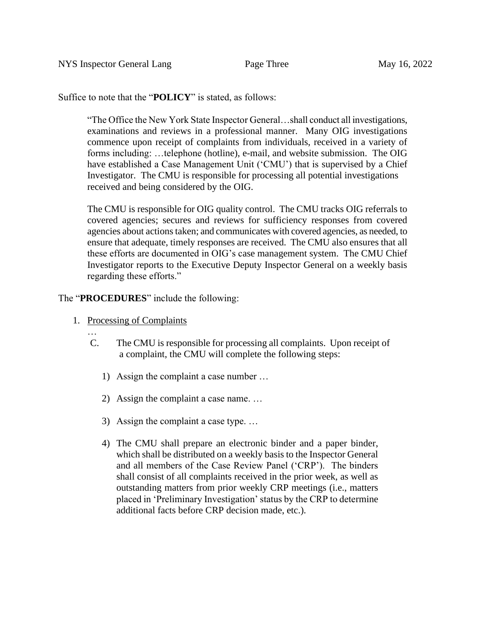Suffice to note that the "**POLICY**" is stated, as follows:

"The Office the New York State Inspector General…shall conduct all investigations, examinations and reviews in a professional manner. Many OIG investigations commence upon receipt of complaints from individuals, received in a variety of forms including: …telephone (hotline), e-mail, and website submission. The OIG have established a Case Management Unit ('CMU') that is supervised by a Chief Investigator. The CMU is responsible for processing all potential investigations received and being considered by the OIG.

The CMU is responsible for OIG quality control. The CMU tracks OIG referrals to covered agencies; secures and reviews for sufficiency responses from covered agencies about actions taken; and communicates with covered agencies, as needed, to ensure that adequate, timely responses are received. The CMU also ensures that all these efforts are documented in OIG's case management system. The CMU Chief Investigator reports to the Executive Deputy Inspector General on a weekly basis regarding these efforts."

The "**PROCEDURES**" include the following:

1. Processing of Complaints

…

- C. The CMU is responsible for processing all complaints. Upon receipt of a complaint, the CMU will complete the following steps:
	- 1) Assign the complaint a case number …
	- 2) Assign the complaint a case name. …
	- 3) Assign the complaint a case type. …
	- 4) The CMU shall prepare an electronic binder and a paper binder, which shall be distributed on a weekly basis to the Inspector General and all members of the Case Review Panel ('CRP'). The binders shall consist of all complaints received in the prior week, as well as outstanding matters from prior weekly CRP meetings (i.e., matters placed in 'Preliminary Investigation' status by the CRP to determine additional facts before CRP decision made, etc.).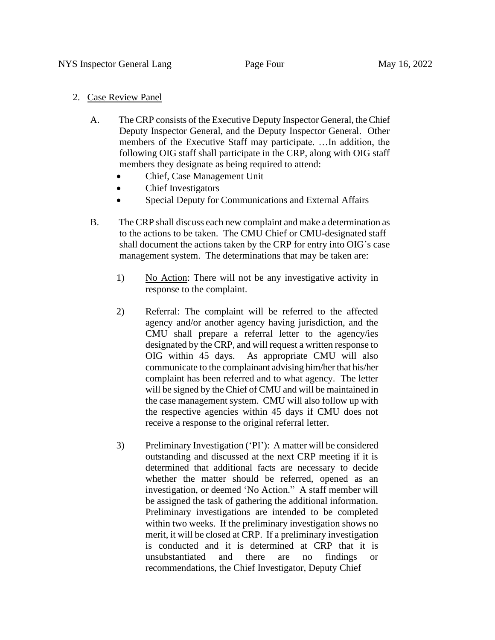## 2. Case Review Panel

- A. The CRP consists of the Executive Deputy Inspector General, the Chief Deputy Inspector General, and the Deputy Inspector General. Other members of the Executive Staff may participate. …In addition, the following OIG staff shall participate in the CRP, along with OIG staff members they designate as being required to attend:
	- Chief, Case Management Unit
	- Chief Investigators
	- Special Deputy for Communications and External Affairs
- B. The CRP shall discuss each new complaint and make a determination as to the actions to be taken. The CMU Chief or CMU-designated staff shall document the actions taken by the CRP for entry into OIG's case management system. The determinations that may be taken are:
	- 1) No Action: There will not be any investigative activity in response to the complaint.
	- 2) Referral: The complaint will be referred to the affected agency and/or another agency having jurisdiction, and the CMU shall prepare a referral letter to the agency/ies designated by the CRP, and will request a written response to OIG within 45 days. As appropriate CMU will also communicate to the complainant advising him/her that his/her complaint has been referred and to what agency. The letter will be signed by the Chief of CMU and will be maintained in the case management system. CMU will also follow up with the respective agencies within 45 days if CMU does not receive a response to the original referral letter.
	- 3) Preliminary Investigation ('PI'): A matter will be considered outstanding and discussed at the next CRP meeting if it is determined that additional facts are necessary to decide whether the matter should be referred, opened as an investigation, or deemed 'No Action." A staff member will be assigned the task of gathering the additional information. Preliminary investigations are intended to be completed within two weeks. If the preliminary investigation shows no merit, it will be closed at CRP. If a preliminary investigation is conducted and it is determined at CRP that it is unsubstantiated and there are no findings or recommendations, the Chief Investigator, Deputy Chief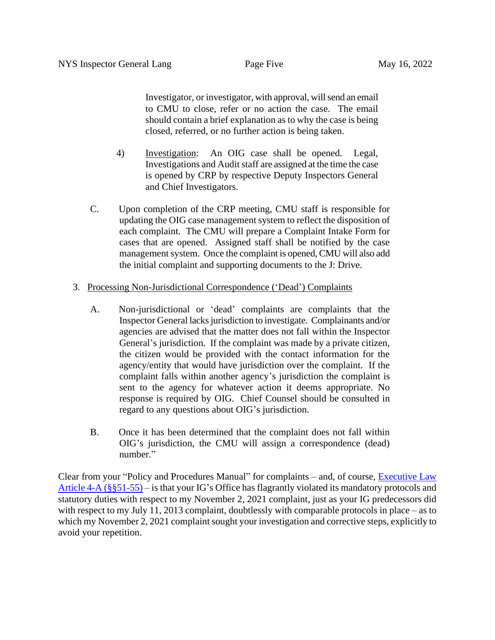Investigator, or investigator, with approval, will send an email to CMU to close, refer or no action the case. The email should contain a brief explanation as to why the case is being closed, referred, or no further action is being taken.

- 4) Investigation: An OIG case shall be opened. Legal, Investigations and Audit staff are assigned at the time the case is opened by CRP by respective Deputy Inspectors General and Chief Investigators.
- C. Upon completion of the CRP meeting, CMU staff is responsible for updating the OIG case management system to reflect the disposition of each complaint. The CMU will prepare a Complaint Intake Form for cases that are opened. Assigned staff shall be notified by the case management system. Once the complaint is opened, CMU will also add the initial complaint and supporting documents to the J: Drive.

## 3. Processing Non-Jurisdictional Correspondence ('Dead') Complaints

- A. Non-jurisdictional or 'dead' complaints are complaints that the Inspector General lacks jurisdiction to investigate. Complainants and/or agencies are advised that the matter does not fall within the Inspector General's jurisdiction. If the complaint was made by a private citizen, the citizen would be provided with the contact information for the agency/entity that would have jurisdiction over the complaint. If the complaint falls within another agency's jurisdiction the complaint is sent to the agency for whatever action it deems appropriate. No response is required by OIG. Chief Counsel should be consulted in regard to any questions about OIG's jurisdiction.
- B. Once it has been determined that the complaint does not fall within OIG's jurisdiction, the CMU will assign a correspondence (dead) number."

Clear from your "Policy and Procedures Manual" for complaints – and, of course, **Executive Law** [Article 4-A](https://ig.ny.gov/executive-law-article-4) (§§51-55) – is that your IG's Office has flagrantly violated its mandatory protocols and statutory duties with respect to my November 2, 2021 complaint, just as your IG predecessors did with respect to my July 11, 2013 complaint, doubtlessly with comparable protocols in place – as to which my November 2, 2021 complaint sought your investigation and corrective steps, explicitly to avoid your repetition.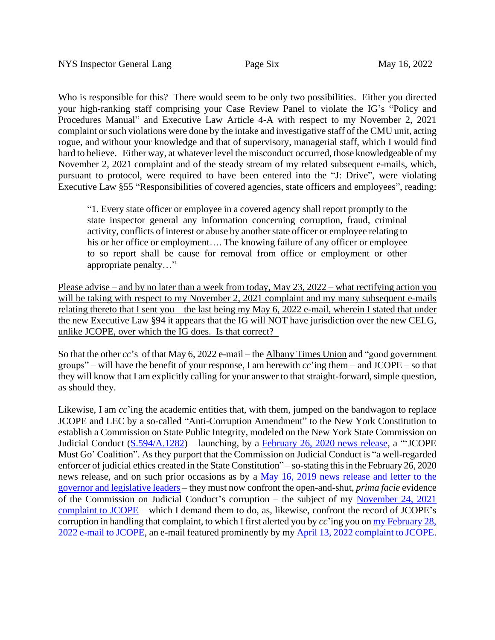Who is responsible for this? There would seem to be only two possibilities. Either you directed your high-ranking staff comprising your Case Review Panel to violate the IG's "Policy and Procedures Manual" and Executive Law Article 4-A with respect to my November 2, 2021 complaint or such violations were done by the intake and investigative staff of the CMU unit, acting rogue, and without your knowledge and that of supervisory, managerial staff, which I would find hard to believe. Either way, at whatever level the misconduct occurred, those knowledgeable of my November 2, 2021 complaint and of the steady stream of my related subsequent e-mails, which, pursuant to protocol, were required to have been entered into the "J: Drive", were violating Executive Law §55 "Responsibilities of covered agencies, state officers and employees", reading:

"1. Every state officer or employee in a covered agency shall report promptly to the state inspector general any information concerning corruption, fraud, criminal activity, conflicts of interest or abuse by another state officer or employee relating to his or her office or employment.... The knowing failure of any officer or employee to so report shall be cause for removal from office or employment or other appropriate penalty…"

Please advise – and by no later than a week from today, May 23, 2022 – what rectifying action you will be taking with respect to my November 2, 2021 complaint and my many subsequent e-mails relating thereto that I sent you – the last being my May 6, 2022 e-mail, wherein I stated that under the new Executive Law §94 it appears that the IG will NOT have jurisdiction over the new CELG, unlike JCOPE, over which the IG does. Is that correct?

So that the other *cc*'s of that May 6, 2022 e-mail – the Albany Times Union and "good government groups" – will have the benefit of your response, I am herewith  $cc'$  ing them – and JCOPE – so that they will know that I am explicitly calling for your answer to that straight-forward, simple question, as should they.

Likewise, I am *cc*'ing the academic entities that, with them, jumped on the bandwagon to replace JCOPE and LEC by a so-called "Anti-Corruption Amendment" to the New York Constitution to establish a Commission on State Public Integrity, modeled on the New York State Commission on Judicial Conduct [\(S.594/A.1282\)](https://www.nysenate.gov/legislation/bills/2019/S594) – launching, by a February 26, [2020 news release,](https://reinventalbany.org/2020/02/12-civic-groups-unveil-new-website-urging-albany-to-replace-jcope/) a "'JCOPE Must Go' Coalition". As they purport that the Commission on Judicial Conduct is "a well-regarded enforcer of judicial ethics created in the State Constitution" – so-stating this in the February 26, 2020 news release, and on such prior occasions as by a May 16, 2019 [news release and](https://reinventalbany.org/wp-content/uploads/2019/10/final-ethics-news-5.16.19.pdf) letter to the [governor and legislative leaders](https://reinventalbany.org/wp-content/uploads/2019/10/final-ethics-news-5.16.19.pdf) – they must now confront the open-and-shut, *prima facie* evidence of the Commission on Judicial Conduct's corruption – the subject of my [November 24, 2021](https://www.judgewatch.org/nys-jcope-ethics-commission/2021/11-24-21-complaint-v-cjc/11-24-21-complaint-to-jcope.pdf)  [complaint to JCOPE](https://www.judgewatch.org/nys-jcope-ethics-commission/2021/11-24-21-complaint-v-cjc/11-24-21-complaint-to-jcope.pdf) – which I demand them to do, as, likewise, confront the record of JCOPE's corruption in handling that complaint, to which I first alerted you by *cc*'ing you o[n my February 28,](https://www.judgewatch.org/nys-jcope-ethics-commission/2021/12-17-21-complaint-re-lec/2-28-22-email-to-jcope-chair-etc.pdf)  [2022 e-mail](https://www.judgewatch.org/nys-jcope-ethics-commission/2021/12-17-21-complaint-re-lec/2-28-22-email-to-jcope-chair-etc.pdf) to JCOPE, an e-mail featured prominently by my [April 13, 2022 complaint to JCOPE.](https://www.judgewatch.org/nys-jcope-ethics-commission/4-13-22-complaint/4-13-22-complaint-fy2022-23-budget.pdf)